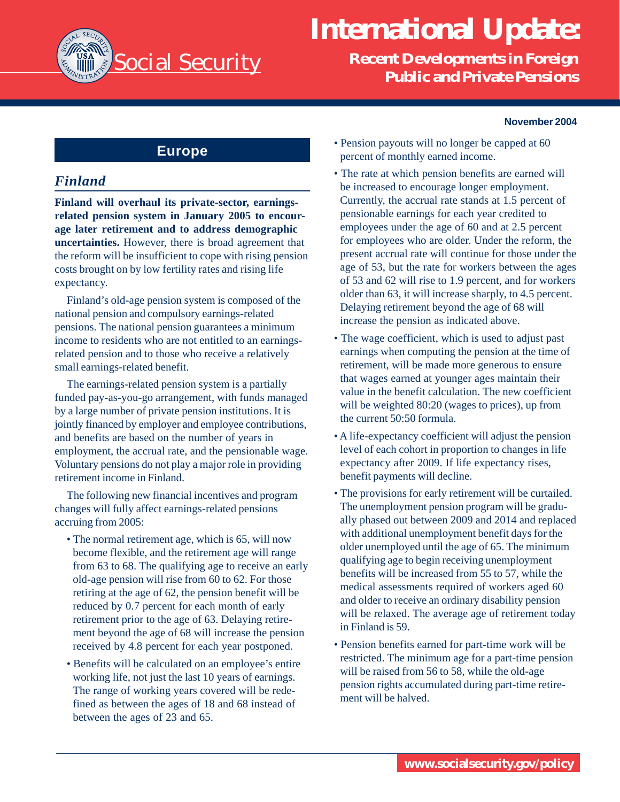

# **International Update:**

**Recent Developments in Foreign Public and Private Pensions**

#### **November 2004**

# **Europe**

## *Finland*

**Finland will overhaul its private-sector, earningsrelated pension system in January 2005 to encourage later retirement and to address demographic uncertainties.** However, there is broad agreement that the reform will be insufficient to cope with rising pension costs brought on by low fertility rates and rising life expectancy.

Finland's old-age pension system is composed of the national pension and compulsory earnings-related pensions. The national pension guarantees a minimum income to residents who are not entitled to an earningsrelated pension and to those who receive a relatively small earnings-related benefit.

The earnings-related pension system is a partially funded pay-as-you-go arrangement, with funds managed by a large number of private pension institutions. It is jointly financed by employer and employee contributions, and benefits are based on the number of years in employment, the accrual rate, and the pensionable wage. Voluntary pensions do not play a major role in providing retirement income in Finland.

The following new financial incentives and program changes will fully affect earnings-related pensions accruing from 2005:

- The normal retirement age, which is 65, will now become flexible, and the retirement age will range from 63 to 68. The qualifying age to receive an early old-age pension will rise from 60 to 62. For those retiring at the age of 62, the pension benefit will be reduced by 0.7 percent for each month of early retirement prior to the age of 63. Delaying retirement beyond the age of 68 will increase the pension received by 4.8 percent for each year postponed.
- Benefits will be calculated on an employee's entire working life, not just the last 10 years of earnings. The range of working years covered will be redefined as between the ages of 18 and 68 instead of between the ages of 23 and 65.
- Pension payouts will no longer be capped at 60 percent of monthly earned income.
- The rate at which pension benefits are earned will be increased to encourage longer employment. Currently, the accrual rate stands at 1.5 percent of pensionable earnings for each year credited to employees under the age of 60 and at 2.5 percent for employees who are older. Under the reform, the present accrual rate will continue for those under the age of 53, but the rate for workers between the ages of 53 and 62 will rise to 1.9 percent, and for workers older than 63, it will increase sharply, to 4.5 percent. Delaying retirement beyond the age of 68 will increase the pension as indicated above.
- The wage coefficient, which is used to adjust past earnings when computing the pension at the time of retirement, will be made more generous to ensure that wages earned at younger ages maintain their value in the benefit calculation. The new coefficient will be weighted  $80:20$  (wages to prices), up from the current 50:50 formula.
- A life-expectancy coefficient will adjust the pension level of each cohort in proportion to changes in life expectancy after 2009. If life expectancy rises, benefit payments will decline.
- The provisions for early retirement will be curtailed. The unemployment pension program will be gradually phased out between 2009 and 2014 and replaced with additional unemployment benefit days for the older unemployed until the age of 65. The minimum qualifying age to begin receiving unemployment benefits will be increased from 55 to 57, while the medical assessments required of workers aged 60 and older to receive an ordinary disability pension will be relaxed. The average age of retirement today in Finland is 59.
- Pension benefits earned for part-time work will be restricted. The minimum age for a part-time pension will be raised from 56 to 58, while the old-age pension rights accumulated during part-time retirement will be halved.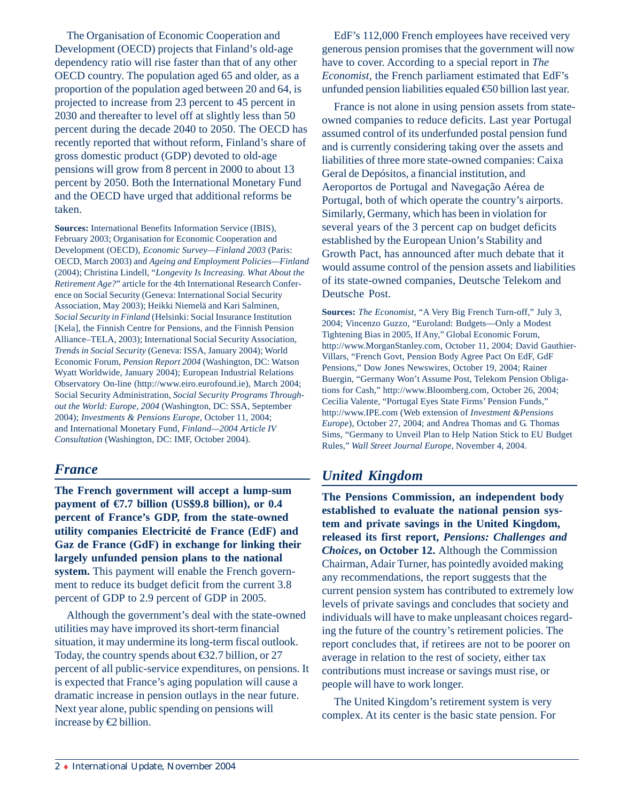The Organisation of Economic Cooperation and Development (OECD) projects that Finland's old-age dependency ratio will rise faster than that of any other OECD country. The population aged 65 and older, as a proportion of the population aged between 20 and 64, is projected to increase from 23 percent to 45 percent in 2030 and thereafter to level off at slightly less than 50 percent during the decade 2040 to 2050. The OECD has recently reported that without reform, Finland's share of gross domestic product (GDP) devoted to old-age pensions will grow from 8 percent in 2000 to about 13 percent by 2050. Both the International Monetary Fund and the OECD have urged that additional reforms be taken.

**Sources:** International Benefits Information Service (IBIS), February 2003; Organisation for Economic Cooperation and Development (OECD), *Economic Survey—Finland 2003* (Paris: OECD, March 2003) and *Ageing and Employment Policies—Finland* (2004); Christina Lindell, "*Longevity Is Increasing. What About the Retirement Age?*" article for the 4th International Research Conference on Social Security (Geneva: International Social Security Association, May 2003); Heikki Niemelä and Kari Salminen, *Social Security in Finland* (Helsinki: Social Insurance Institution [Kela], the Finnish Centre for Pensions, and the Finnish Pension Alliance–TELA, 2003); International Social Security Association, *Trends in Social Security* (Geneva: ISSA, January 2004); World Economic Forum, *Pension Report 2004* (Washington, DC: Watson Wyatt Worldwide, January 2004); European Industrial Relations Observatory On-line (http://www.eiro.eurofound.ie), March 2004; Social Security Administration, *Social Security Programs Throughout the World: Europe, 2004* (Washington, DC: SSA, September 2004); *Investments & Pensions Europe*, October 11, 2004; and International Monetary Fund, *Finland—2004 Article IV Consultation* (Washington, DC: IMF, October 2004).

## *France*

**The French government will accept a lump-sum payment of**  $\epsilon$ **.7 billion (US\$9.8 billion), or 0.4 percent of France's GDP, from the state-owned utility companies Electricité de France (EdF) and Gaz de France (GdF) in exchange for linking their largely unfunded pension plans to the national system.** This payment will enable the French government to reduce its budget deficit from the current 3.8 percent of GDP to 2.9 percent of GDP in 2005.

Although the government's deal with the state-owned utilities may have improved its short-term financial situation, it may undermine its long-term fiscal outlook. Today, the country spends about €32.7 billion, or 27 percent of all public-service expenditures, on pensions. It is expected that France's aging population will cause a dramatic increase in pension outlays in the near future. Next year alone, public spending on pensions will increase by  $\bigoplus$  billion.

EdF's 112,000 French employees have received very generous pension promises that the government will now have to cover. According to a special report in *The Economist*, the French parliament estimated that EdF's unfunded pension liabilities equaled €50 billion last year.

France is not alone in using pension assets from stateowned companies to reduce deficits. Last year Portugal assumed control of its underfunded postal pension fund and is currently considering taking over the assets and liabilities of three more state-owned companies: Caixa Geral de Depósitos, a financial institution, and Aeroportos de Portugal and Navegação Aérea de Portugal, both of which operate the country's airports. Similarly, Germany, which has been in violation for several years of the 3 percent cap on budget deficits established by the European Union's Stability and Growth Pact, has announced after much debate that it would assume control of the pension assets and liabilities of its state-owned companies, Deutsche Telekom and Deutsche Post.

**Sources:** *The Economist*, "A Very Big French Turn-off," July 3, 2004; Vincenzo Guzzo, "Euroland: Budgets—Only a Modest Tightening Bias in 2005, If Any," Global Economic Forum, http://www.MorganStanley.com, October 11, 2004; David Gauthier-Villars, "French Govt, Pension Body Agree Pact On EdF, GdF Pensions," Dow Jones Newswires, October 19, 2004; Rainer Buergin, "Germany Won't Assume Post, Telekom Pension Obligations for Cash," http://www.Bloomberg.com, October 26, 2004; Cecilia Valente, "Portugal Eyes State Firms' Pension Funds," http://www.IPE.com (Web extension of *Investment &Pensions Europe*), October 27, 2004; and Andrea Thomas and G. Thomas Sims, "Germany to Unveil Plan to Help Nation Stick to EU Budget Rules," *Wall Street Journal Europe*, November 4, 2004.

## *United Kingdom*

**The Pensions Commission, an independent body established to evaluate the national pension system and private savings in the United Kingdom, released its first report,** *Pensions: Challenges and Choices***, on October 12.** Although the Commission Chairman, Adair Turner, has pointedly avoided making any recommendations, the report suggests that the current pension system has contributed to extremely low levels of private savings and concludes that society and individuals will have to make unpleasant choices regarding the future of the country's retirement policies. The report concludes that, if retirees are not to be poorer on average in relation to the rest of society, either tax contributions must increase or savings must rise, or people will have to work longer.

The United Kingdom's retirement system is very complex. At its center is the basic state pension. For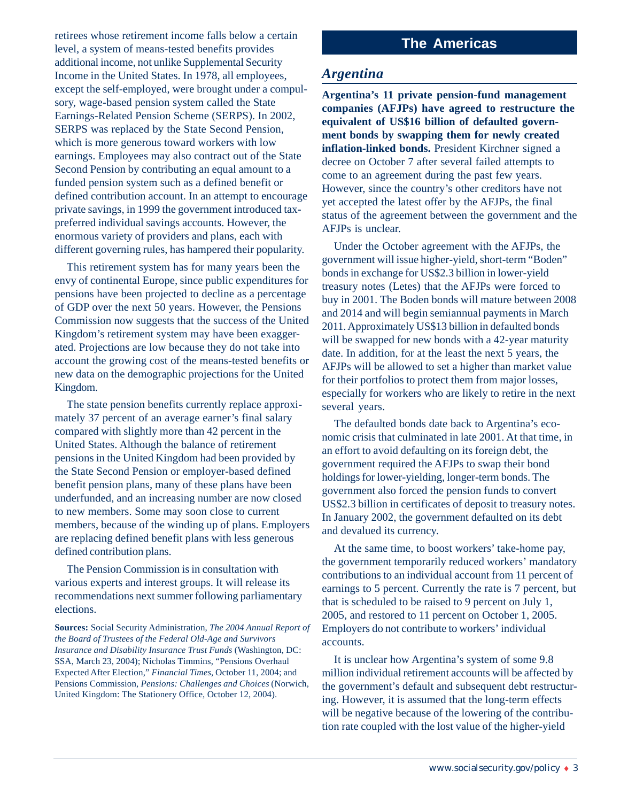retirees whose retirement income falls below a certain level, a system of means-tested benefits provides additional income, not unlike Supplemental Security Income in the United States. In 1978, all employees, except the self-employed, were brought under a compulsory, wage-based pension system called the State Earnings-Related Pension Scheme (SERPS). In 2002, SERPS was replaced by the State Second Pension, which is more generous toward workers with low earnings. Employees may also contract out of the State Second Pension by contributing an equal amount to a funded pension system such as a defined benefit or defined contribution account. In an attempt to encourage private savings, in 1999 the government introduced taxpreferred individual savings accounts. However, the enormous variety of providers and plans, each with different governing rules, has hampered their popularity.

This retirement system has for many years been the envy of continental Europe, since public expenditures for pensions have been projected to decline as a percentage of GDP over the next 50 years. However, the Pensions Commission now suggests that the success of the United Kingdom's retirement system may have been exaggerated. Projections are low because they do not take into account the growing cost of the means-tested benefits or new data on the demographic projections for the United Kingdom.

The state pension benefits currently replace approximately 37 percent of an average earner's final salary compared with slightly more than 42 percent in the United States. Although the balance of retirement pensions in the United Kingdom had been provided by the State Second Pension or employer-based defined benefit pension plans, many of these plans have been underfunded, and an increasing number are now closed to new members. Some may soon close to current members, because of the winding up of plans. Employers are replacing defined benefit plans with less generous defined contribution plans.

The Pension Commission is in consultation with various experts and interest groups. It will release its recommendations next summer following parliamentary elections.

**Sources:** Social Security Administration, *The 2004 Annual Report of the Board of Trustees of the Federal Old-Age and Survivors Insurance and Disability Insurance Trust Funds* (Washington, DC: SSA, March 23, 2004); Nicholas Timmins, "Pensions Overhaul Expected After Election," *Financial Times*, October 11, 2004; and Pensions Commission, *Pensions: Challenges and Choices* (Norwich, United Kingdom: The Stationery Office, October 12, 2004).

# **The Americas**

### *Argentina*

**Argentina's 11 private pension-fund management companies (AFJPs) have agreed to restructure the equivalent of US\$16 billion of defaulted government bonds by swapping them for newly created inflation-linked bonds.** President Kirchner signed a decree on October 7 after several failed attempts to come to an agreement during the past few years. However, since the country's other creditors have not yet accepted the latest offer by the AFJPs, the final status of the agreement between the government and the AFJPs is unclear.

Under the October agreement with the AFJPs, the government will issue higher-yield, short-term "Boden" bonds in exchange for US\$2.3 billion in lower-yield treasury notes (Letes) that the AFJPs were forced to buy in 2001. The Boden bonds will mature between 2008 and 2014 and will begin semiannual payments in March 2011. Approximately US\$13 billion in defaulted bonds will be swapped for new bonds with a 42-year maturity date. In addition, for at the least the next 5 years, the AFJPs will be allowed to set a higher than market value for their portfolios to protect them from major losses, especially for workers who are likely to retire in the next several years.

The defaulted bonds date back to Argentina's economic crisis that culminated in late 2001. At that time, in an effort to avoid defaulting on its foreign debt, the government required the AFJPs to swap their bond holdings for lower-yielding, longer-term bonds. The government also forced the pension funds to convert US\$2.3 billion in certificates of deposit to treasury notes. In January 2002, the government defaulted on its debt and devalued its currency.

At the same time, to boost workers' take-home pay, the government temporarily reduced workers' mandatory contributions to an individual account from 11 percent of earnings to 5 percent. Currently the rate is 7 percent, but that is scheduled to be raised to 9 percent on July 1, 2005, and restored to 11 percent on October 1, 2005. Employers do not contribute to workers' individual accounts.

It is unclear how Argentina's system of some 9.8 million individual retirement accounts will be affected by the government's default and subsequent debt restructuring. However, it is assumed that the long-term effects will be negative because of the lowering of the contribution rate coupled with the lost value of the higher-yield